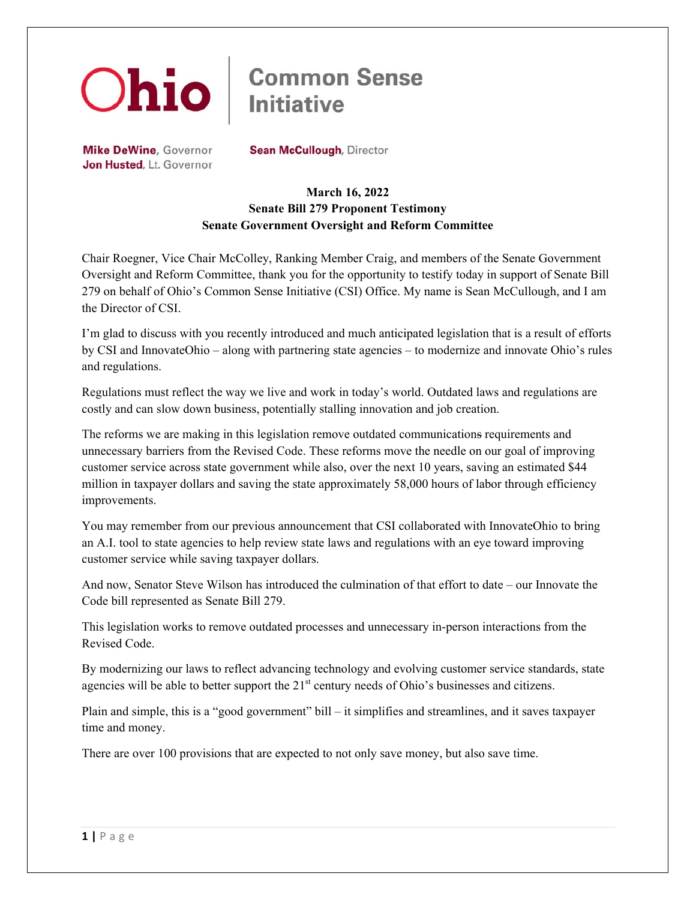

## **Common Sense Initiative**

Mike DeWine, Governor Jon Husted, Lt. Governor **Sean McCullough, Director** 

## **March 16, 2022 Senate Bill 279 Proponent Testimony Senate Government Oversight and Reform Committee**

Chair Roegner, Vice Chair McColley, Ranking Member Craig, and members of the Senate Government Oversight and Reform Committee, thank you for the opportunity to testify today in support of Senate Bill 279 on behalf of Ohio's Common Sense Initiative (CSI) Office. My name is Sean McCullough, and I am the Director of CSI.

I'm glad to discuss with you recently introduced and much anticipated legislation that is a result of efforts by CSI and InnovateOhio – along with partnering state agencies – to modernize and innovate Ohio's rules and regulations.

Regulations must reflect the way we live and work in today's world. Outdated laws and regulations are costly and can slow down business, potentially stalling innovation and job creation.

The reforms we are making in this legislation remove outdated communications requirements and unnecessary barriers from the Revised Code. These reforms move the needle on our goal of improving customer service across state government while also, over the next 10 years, saving an estimated \$44 million in taxpayer dollars and saving the state approximately 58,000 hours of labor through efficiency improvements.

You may remember from our previous announcement that CSI collaborated with InnovateOhio to bring an A.I. tool to state agencies to help review state laws and regulations with an eye toward improving customer service while saving taxpayer dollars.

And now, Senator Steve Wilson has introduced the culmination of that effort to date – our Innovate the Code bill represented as Senate Bill 279.

This legislation works to remove outdated processes and unnecessary in-person interactions from the Revised Code.

By modernizing our laws to reflect advancing technology and evolving customer service standards, state agencies will be able to better support the 21<sup>st</sup> century needs of Ohio's businesses and citizens.

Plain and simple, this is a "good government" bill – it simplifies and streamlines, and it saves taxpayer time and money.

There are over 100 provisions that are expected to not only save money, but also save time.